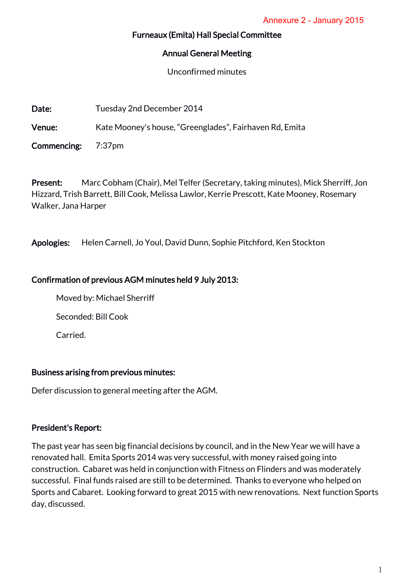#### Furneaux (Emita) Hall Special Committee

#### Annual General Meeting

Unconfirmed minutes

Date: Tuesday 2nd December 2014

Venue: Kate Mooney's house, "Greenglades", Fairhaven Rd, Emita

Commencing: 7:37pm

Present: Marc Cobham (Chair), Mel Telfer (Secretary, taking minutes), Mick Sherriff, Jon Hizzard, Trish Barrett, Bill Cook, Melissa Lawlor, Kerrie Prescott, Kate Mooney, Rosemary Walker, Jana Harper

Apologies: Helen Carnell, Jo Youl, David Dunn, Sophie Pitchford, Ken Stockton

### Confirmation of previous AGM minutes held 9 July 2013:

Moved by: Michael Sherriff

Seconded: Bill Cook

Carried.

### Business arising from previous minutes:

Defer discussion to general meeting after the AGM.

# President's Report:

The past year has seen big financial decisions by council, and in the New Year we will have a renovated hall. Emita Sports 2014 was very successful, with money raised going into construction. Cabaret was held in conjunction with Fitness on Flinders and was moderately successful. Final funds raised are still to be determined. Thanks to everyone who helped on Sports and Cabaret. Looking forward to great 2015 with new renovations. Next function Sports day, discussed.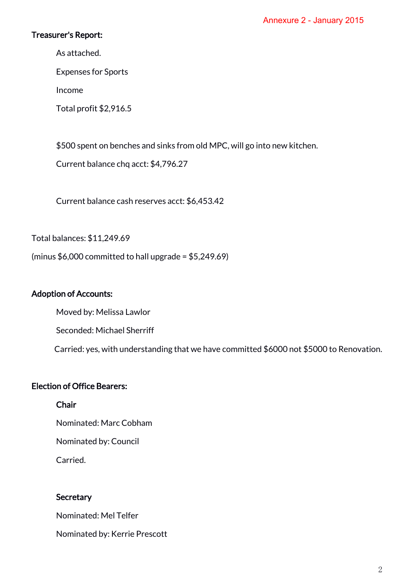### Treasurer's Report:

As attached.

Expenses for Sports

Income

Total profit \$2,916.5

\$500 spent on benches and sinks from old MPC, will go into new kitchen.

Current balance chq acct: \$4,796.27

Current balance cash reserves acct: \$6,453.42

Total balances: \$11,249.69

(minus  $$6,000$  committed to hall upgrade =  $$5,249.69$ )

#### Adoption of Accounts:

Moved by: Melissa Lawlor

Seconded: Michael Sherriff

Carried: yes, with understanding that we have committed \$6000 not \$5000 to Renovation.

### Election of Office Bearers:

Chair

Nominated: Marc Cobham

Nominated by: Council

Carried.

### **Secretary**

Nominated: Mel Telfer

Nominated by: Kerrie Prescott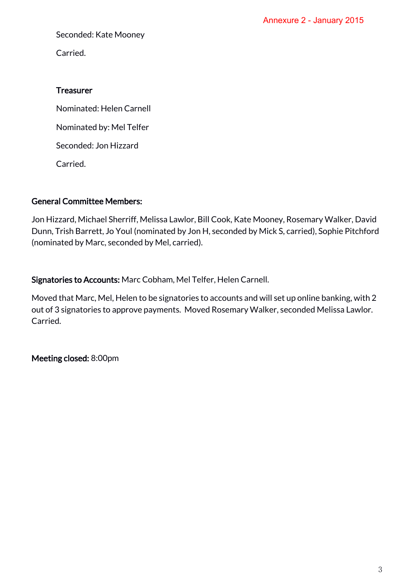Seconded: Kate Mooney

Carried.

#### **Treasurer**

 Nominated: Helen Carnell Nominated by: Mel Telfer Seconded: Jon Hizzard

Carried.

### General Committee Members:

Jon Hizzard, Michael Sherriff, Melissa Lawlor, Bill Cook, Kate Mooney, Rosemary Walker, David Dunn, Trish Barrett, Jo Youl (nominated by Jon H, seconded by Mick S, carried), Sophie Pitchford (nominated by Marc, seconded by Mel, carried).

Signatories to Accounts: Marc Cobham, Mel Telfer, Helen Carnell.

Moved that Marc, Mel, Helen to be signatories to accounts and will set up online banking, with 2 out of 3 signatories to approve payments. Moved Rosemary Walker, seconded Melissa Lawlor. Carried.

Meeting closed: 8:00pm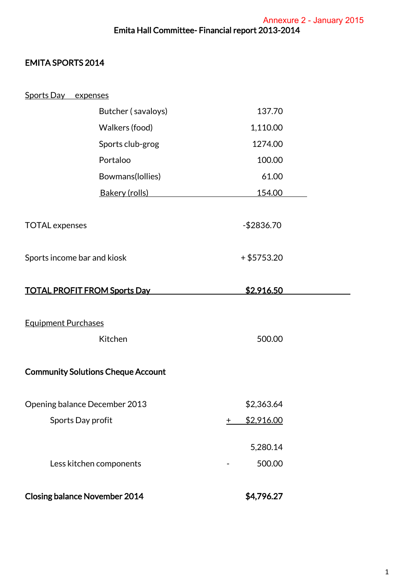# EMITA SPORTS 2014

| Sports Day expenses                  |                                           |                           |  |
|--------------------------------------|-------------------------------------------|---------------------------|--|
|                                      | Butcher (savaloys)                        | 137.70                    |  |
|                                      | Walkers (food)                            | 1,110.00                  |  |
|                                      | Sports club-grog                          | 1274.00                   |  |
|                                      | Portaloo                                  | 100.00                    |  |
|                                      | Bowmans(Iollies)                          | 61.00                     |  |
|                                      | Bakery (rolls)                            | 154.00                    |  |
|                                      |                                           |                           |  |
| <b>TOTAL</b> expenses                |                                           | $-$2836.70$               |  |
|                                      |                                           |                           |  |
| Sports income bar and kiosk          |                                           | $+ $5753.20$              |  |
|                                      |                                           |                           |  |
| <b>TOTAL PROFIT FROM Sports Day</b>  |                                           | \$2,916.50                |  |
|                                      |                                           |                           |  |
| <b>Equipment Purchases</b>           |                                           |                           |  |
|                                      | Kitchen                                   | 500.00                    |  |
|                                      |                                           |                           |  |
|                                      | <b>Community Solutions Cheque Account</b> |                           |  |
| Opening balance December 2013        |                                           | \$2,363.64                |  |
| Sports Day profit                    |                                           | \$2,916.00<br>$\mathbf +$ |  |
|                                      |                                           |                           |  |
|                                      |                                           | 5,280.14                  |  |
| Less kitchen components              |                                           | 500.00                    |  |
|                                      |                                           |                           |  |
| <b>Closing balance November 2014</b> |                                           | \$4,796.27                |  |